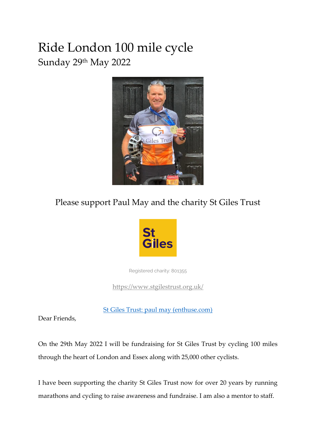# Ride London 100 mile cycle Sunday 29th May 2022



### Please support Paul May and the charity St Giles Trust



Registered charity: 801355

<https://www.stgilestrust.org.uk/>

[St Giles Trust: paul may \(enthuse.com\)](https://ridelondon.enthuse.com/pf/paul-may-e6eac?utm_source=EnthuseSendGrid&utm_medium=Email&utm_campaign=website)

Dear Friends,

On the 29th May 2022 I will be fundraising for St Giles Trust by cycling 100 miles through the heart of London and Essex along with 25,000 other cyclists.

I have been supporting the charity St Giles Trust now for over 20 years by running marathons and cycling to raise awareness and fundraise. I am also a mentor to staff.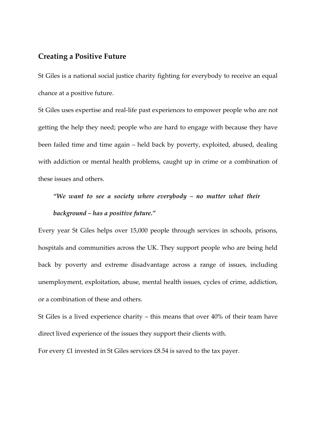### **Creating a Positive Future**

St Giles is a national social justice charity fighting for everybody to receive an equal chance at a positive future.

St Giles uses expertise and real-life past experiences to empower people who are not getting the help they need; people who are hard to engage with because they have been failed time and time again – held back by poverty, exploited, abused, dealing with addiction or mental health problems, caught up in crime or a combination of these issues and others.

## *"We want to see a society where everybody – no matter what their background – has a positive future."*

Every year St Giles helps over 15,000 people through services in schools, prisons, hospitals and communities across the UK. They support people who are being held back by poverty and extreme disadvantage across a range of issues, including unemployment, exploitation, abuse, mental health issues, cycles of crime, addiction, or a combination of these and others.

St Giles is a lived experience charity – this means that over 40% of their team have direct lived experience of the issues they support their clients with.

For every £1 invested in St Giles services £8.54 is saved to the tax payer.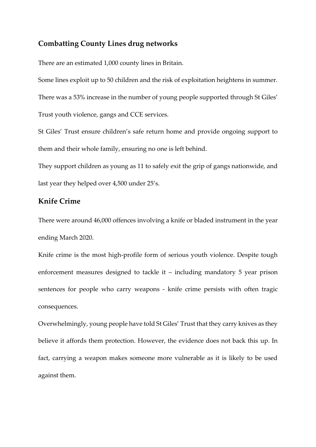### **Combatting County Lines drug networks**

There are an estimated 1,000 county lines in Britain.

Some lines exploit up to 50 children and the risk of exploitation heightens in summer. There was a 53% increase in the number of young people supported through St Giles' Trust youth violence, gangs and CCE services.

St Giles' Trust ensure children's safe return home and provide ongoing support to them and their whole family, ensuring no one is left behind.

They support children as young as 11 to safely exit the grip of gangs nationwide, and last year they helped over 4,500 under 25's.

### **Knife Crime**

There were around 46,000 offences involving a knife or bladed instrument in the year ending March 2020.

Knife crime is the most high-profile form of serious youth violence. Despite tough enforcement measures designed to tackle it – including mandatory 5 year prison sentences for people who carry weapons - knife crime persists with often tragic consequences.

Overwhelmingly, young people have told St Giles' Trust that they carry knives as they believe it affords them protection. However, the evidence does not back this up. In fact, carrying a weapon makes someone more vulnerable as it is likely to be used against them.